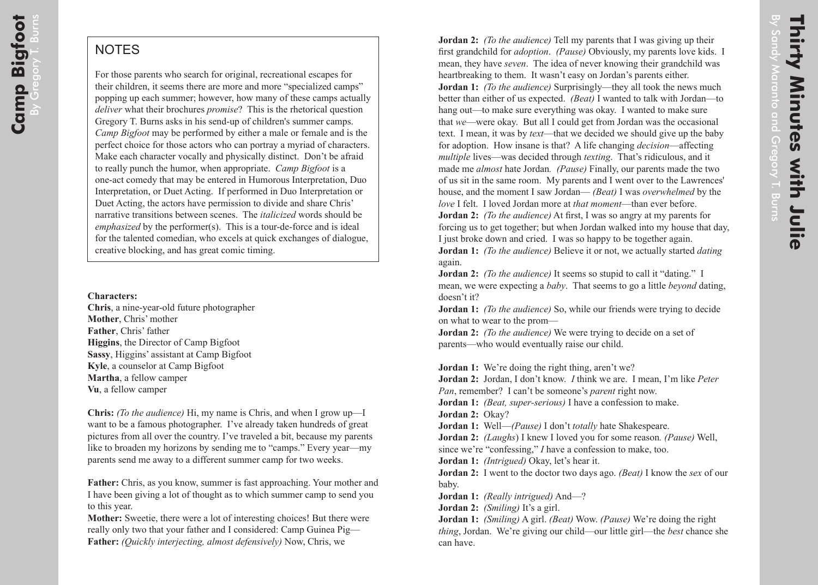## **NOTES**

For those parents who search for original, recreational escapes for their children, it seems there are more and more "specialized camps" popping up each summer; however, how many of these camps actually *deliver* what their brochures *promise*? This is the rhetorical question Gregory T. Burns asks in his send-up of children's summer camps. *Camp Bigfoot* may be performed by either a male or female and is the perfect choice for those actors who can portray a myriad of characters. Make each character vocally and physically distinct. Don't be afraid to really punch the humor, when appropriate. *Camp Bigfoot* is a one-act comedy that may be entered in Humorous Interpretation, Duo Interpretation, or Duet Acting. If performed in Duo Interpretation or Duet Acting, the actors have permission to divide and share Chris' narrative transitions between scenes. The *italicized* words should be *emphasized* by the performer(s). This is a tour-de-force and is ideal for the talented comedian, who excels at quick exchanges of dialogue, creative blocking, and has great comic timing.

## **Characters:**

**Chris**, a nine-year-old future photographer **Mother**, Chris' mother **Father**, Chris' father **Higgins**, the Director of Camp Bigfoot **Sassy**, Higgins' assistant at Camp Bigfoot **Kyle**, a counselor at Camp Bigfoot **Martha**, a fellow camper **Vu**, a fellow camper

**Chris:** *(To the audience)* Hi, my name is Chris, and when I grow up—I want to be a famous photographer. I've already taken hundreds of great pictures from all over the country. I've traveled a bit, because my parents like to broaden my horizons by sending me to "camps." Every year—my parents send me away to a different summer camp for two weeks.

**Father:** Chris, as you know, summer is fast approaching. Your mother and I have been giving a lot of thought as to which summer camp to send you to this year.

**Mother:** Sweetie, there were a lot of interesting choices! But there were really only two that your father and I considered: Camp Guinea Pig— **Father:** *(Quickly interjecting, almost defensively)* Now, Chris, we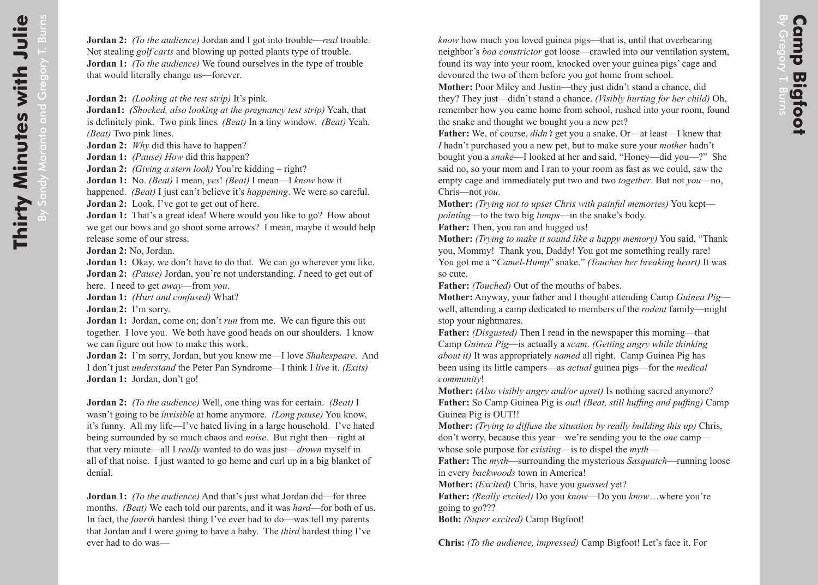*know* how much you loved guinea pigs—that is, until that overbearing neighbor's *boa constrictor* got loose—crawled into our ventilation system, found its way into your room, knocked over your guinea pigs' cage and devoured the two of them before you got home from school.

**Mother:** Poor Miley and Justin—they just didn't stand a chance, did they? They just—didn't stand a chance. *(Visibly hurting for her child)* Oh, remember how you came home from school, rushed into your room, found the snake and thought we bought you a new pet?

**Father:** We, of course, *didn't* get you a snake. Or—at least—I knew that *I* hadn't purchased you a new pet, but to make sure your *mother* hadn't bought you a *snake*—I looked at her and said, "Honey—did you—?" She said no, so your mom and I ran to your room as fast as we could, saw the empty cage and immediately put two and two *together*. But not *you*—no, Chris—not *you* .

**Mother:** *(Trying not to upset Chris with painful memories)* You kept *pointing*—to the two big *lumps*—in the snake's body.

**Father:** Then, you ran and hugged us!

**Mother:** *(Trying to make it sound like a happy memory)* You said, "Thank you, Mommy! Thank you, Daddy! You got me something really rare! You got me a "*Camel-Hump*" snake." *(Touches her breaking heart)* It was so cute.

**Father:** *(Touched)* Out of the mouths of babes.

**Mother:** Anyway, your father and I thought attending Camp *Guinea Pig* well, attending a camp dedicated to members of the *rodent* family—might stop your nightmares.

**Father:** *(Disgusted)* Then I read in the newspaper this morning—that Camp *Guinea Pig*—is actually a *scam*. *(Getting angry while thinking about it)* It was appropriately *named* all right. Camp Guinea Pig has been using its little campers—as *actual* guinea pigs—for the *medical community* !

**Mother:** *(Also visibly angry and/or upset)* Is nothing sacred anymore? **Father:** So Camp Guinea Pig is *out*! *(Beat, still huffing and puffing)* Camp Guinea Pig is OUT!!

**Mother:** *(Trying to diffuse the situation by really building this up)* Chris, don't worry, because this year—we're sending you to the *one* camp whose sole purpose for *existing*—is to dispel the *myth* —

**Father:** The *myth*—surrounding the mysterious *Sasquatch*—running loose in every *backwoods* town in America!

**Mother:** *(Excited)* Chris, have you *guessed* yet?

**Father:** *(Really excited)* Do you *know*—Do you *know*…where you're going to *go*???

**Both:** *(Super excited)* Camp Bigfoot!

**Chris:** *(To the audience, impressed)* Camp Bigfoot! Let's face it. For